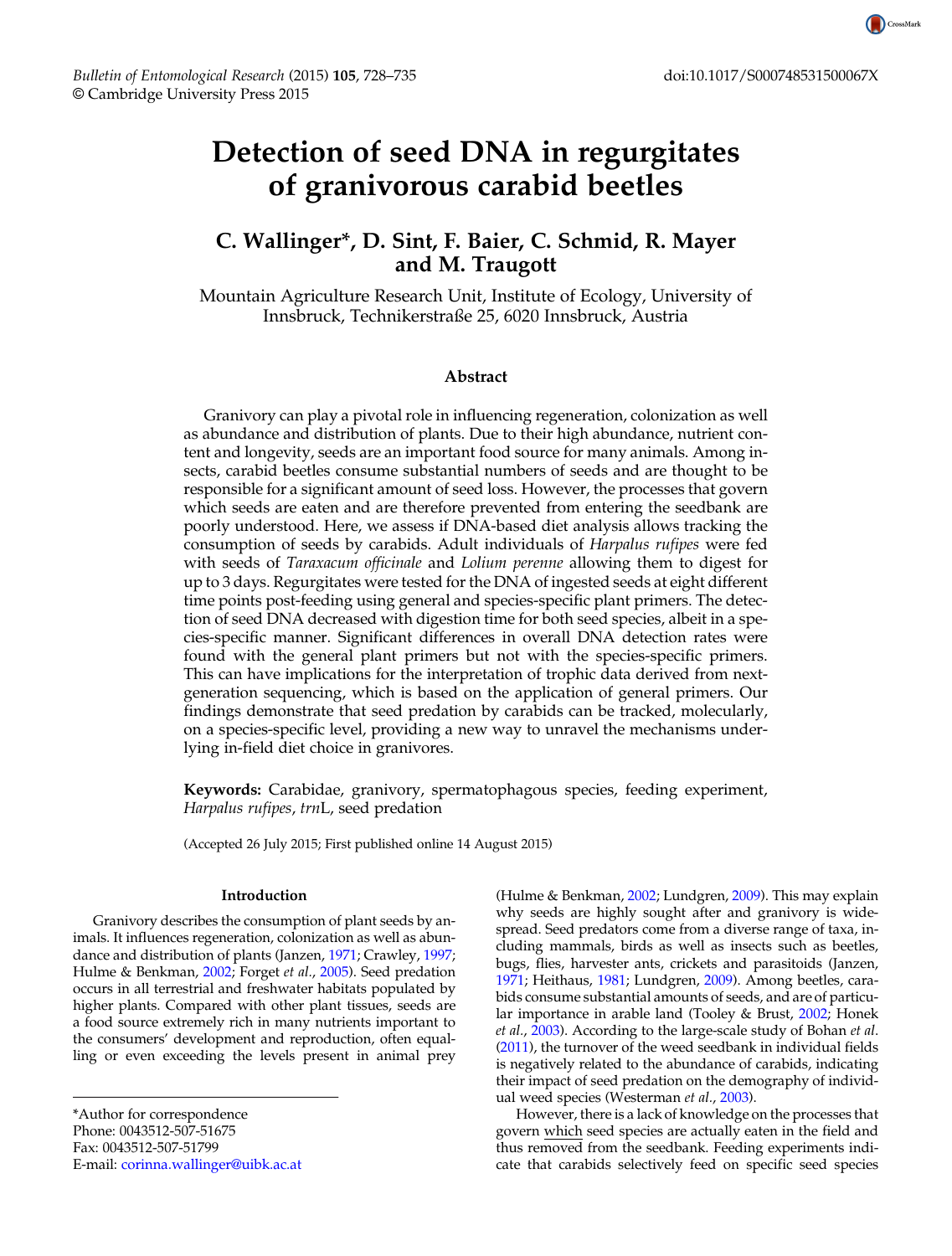# Detection of seed DNA in regurgitates of granivorous carabid beetles

# C. Wallinger\*, D. Sint, F. Baier, C. Schmid, R. Mayer and M. Traugott

Mountain Agriculture Research Unit, Institute of Ecology, University of Innsbruck, Technikerstraße 25, 6020 Innsbruck, Austria

# Abstract

Granivory can play a pivotal role in influencing regeneration, colonization as well as abundance and distribution of plants. Due to their high abundance, nutrient content and longevity, seeds are an important food source for many animals. Among insects, carabid beetles consume substantial numbers of seeds and are thought to be responsible for a significant amount of seed loss. However, the processes that govern which seeds are eaten and are therefore prevented from entering the seedbank are poorly understood. Here, we assess if DNA-based diet analysis allows tracking the consumption of seeds by carabids. Adult individuals of Harpalus rufipes were fed with seeds of *Taraxacum officinale* and *Lolium perenne* allowing them to digest for up to 3 days. Regurgitates were tested for the DNA of ingested seeds at eight different time points post-feeding using general and species-specific plant primers. The detection of seed DNA decreased with digestion time for both seed species, albeit in a species-specific manner. Significant differences in overall DNA detection rates were found with the general plant primers but not with the species-specific primers. This can have implications for the interpretation of trophic data derived from nextgeneration sequencing, which is based on the application of general primers. Our findings demonstrate that seed predation by carabids can be tracked, molecularly, on a species-specific level, providing a new way to unravel the mechanisms underlying in-field diet choice in granivores.

Keywords: Carabidae, granivory, spermatophagous species, feeding experiment, Harpalus rufipes, trnL, seed predation

(Accepted 26 July 2015; First published online 14 August 2015)

### Introduction

Granivory describes the consumption of plant seeds by animals. It influences regeneration, colonization as well as abundance and distribution of plants (Janzen, [1971;](#page-5-0) Crawley, [1997](#page-5-0); Hulme & Benkman, [2002](#page-5-0); Forget et al., [2005\)](#page-5-0). Seed predation occurs in all terrestrial and freshwater habitats populated by higher plants. Compared with other plant tissues, seeds are a food source extremely rich in many nutrients important to the consumers' development and reproduction, often equalling or even exceeding the levels present in animal prey

(Hulme & Benkman, [2002](#page-5-0); Lundgren, [2009](#page-5-0)). This may explain why seeds are highly sought after and granivory is widespread. Seed predators come from a diverse range of taxa, including mammals, birds as well as insects such as beetles, bugs, flies, harvester ants, crickets and parasitoids (Janzen, [1971](#page-5-0); Heithaus, [1981;](#page-5-0) Lundgren, [2009\)](#page-5-0). Among beetles, carabids consume substantial amounts of seeds, and are of particular importance in arable land (Tooley & Brust, [2002](#page-6-0); Honek et al., [2003\)](#page-5-0). According to the large-scale study of Bohan et al. [\(2011](#page-5-0)), the turnover of the weed seedbank in individual fields is negatively related to the abundance of carabids, indicating their impact of seed predation on the demography of individ-ual weed species (Westerman et al., [2003](#page-7-0)).

However, there is a lack of knowledge on the processes that govern which seed species are actually eaten in the field and thus removed from the seedbank. Feeding experiments indicate that carabids selectively feed on specific seed species



<sup>\*</sup>Author for correspondence Phone: 0043512-507-51675 Fax: 0043512-507-51799 E-mail: [corinna.wallinger@uibk.ac.at](mailto:corinna.wallinger@uibk.ac.at)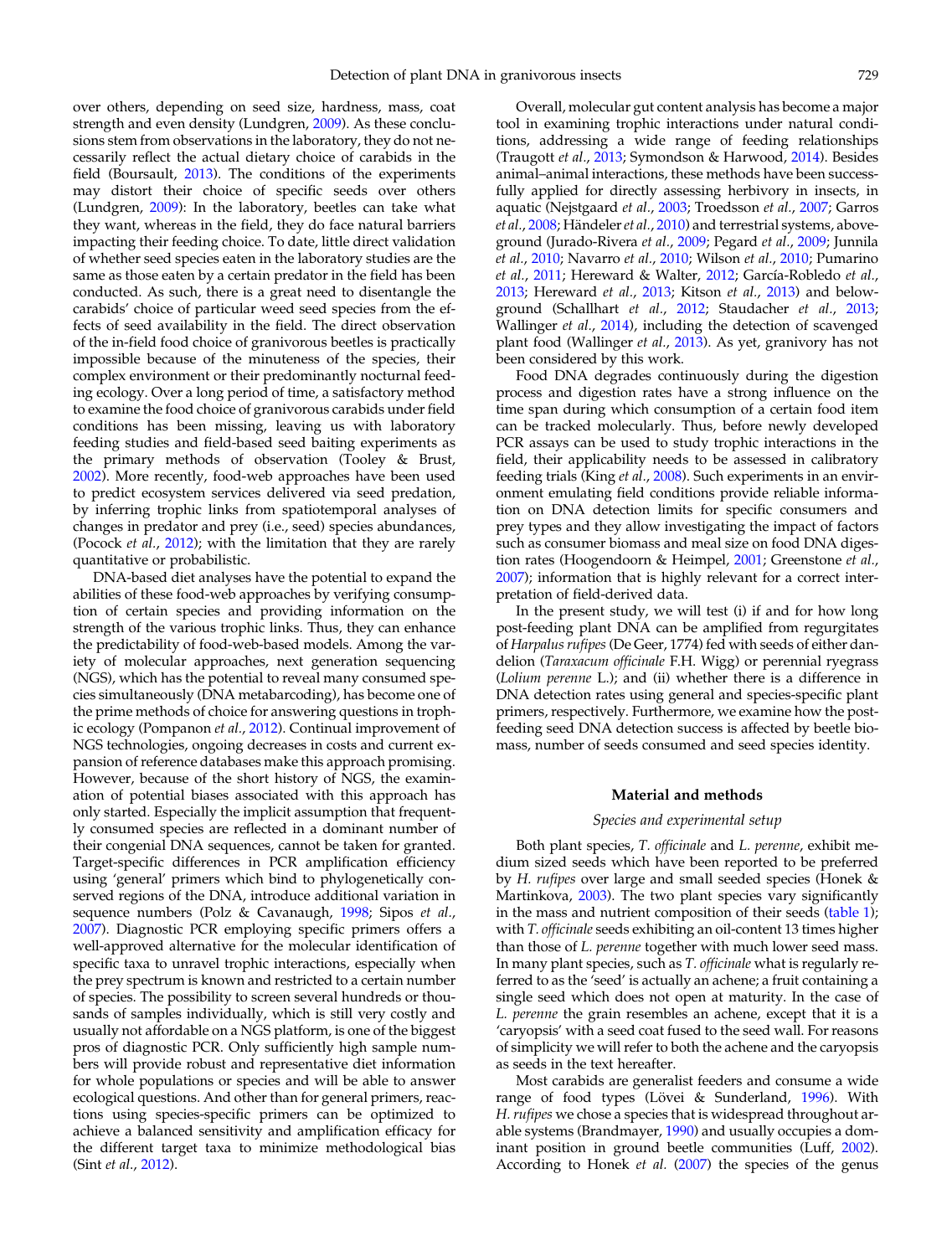over others, depending on seed size, hardness, mass, coat strength and even density (Lundgren, [2009\)](#page-5-0). As these conclusions stem from observations in the laboratory, they do not necessarily reflect the actual dietary choice of carabids in the field (Boursault, [2013](#page-5-0)). The conditions of the experiments may distort their choice of specific seeds over others (Lundgren, [2009](#page-5-0)): In the laboratory, beetles can take what they want, whereas in the field, they do face natural barriers impacting their feeding choice. To date, little direct validation of whether seed species eaten in the laboratory studies are the same as those eaten by a certain predator in the field has been conducted. As such, there is a great need to disentangle the carabids' choice of particular weed seed species from the effects of seed availability in the field. The direct observation of the in-field food choice of granivorous beetles is practically impossible because of the minuteness of the species, their complex environment or their predominantly nocturnal feeding ecology. Over a long period of time, a satisfactory method to examine the food choice of granivorous carabids under field conditions has been missing, leaving us with laboratory feeding studies and field-based seed baiting experiments as the primary methods of observation (Tooley & Brust, [2002\)](#page-6-0). More recently, food-web approaches have been used to predict ecosystem services delivered via seed predation, by inferring trophic links from spatiotemporal analyses of changes in predator and prey (i.e., seed) species abundances, (Pocock et al., [2012](#page-6-0)); with the limitation that they are rarely quantitative or probabilistic.

DNA-based diet analyses have the potential to expand the abilities of these food-web approaches by verifying consumption of certain species and providing information on the strength of the various trophic links. Thus, they can enhance the predictability of food-web-based models. Among the variety of molecular approaches, next generation sequencing (NGS), which has the potential to reveal many consumed species simultaneously (DNA metabarcoding), has become one of the prime methods of choice for answering questions in trophic ecology (Pompanon et al., [2012\)](#page-6-0). Continual improvement of NGS technologies, ongoing decreases in costs and current expansion of reference databases make this approach promising. However, because of the short history of NGS, the examination of potential biases associated with this approach has only started. Especially the implicit assumption that frequently consumed species are reflected in a dominant number of their congenial DNA sequences, cannot be taken for granted. Target-specific differences in PCR amplification efficiency using 'general' primers which bind to phylogenetically conserved regions of the DNA, introduce additional variation in sequence numbers (Polz & Cavanaugh, [1998;](#page-6-0) Sipos et al., [2007](#page-6-0)). Diagnostic PCR employing specific primers offers a well-approved alternative for the molecular identification of specific taxa to unravel trophic interactions, especially when the prey spectrum is known and restricted to a certain number of species. The possibility to screen several hundreds or thousands of samples individually, which is still very costly and usually not affordable on a NGS platform, is one of the biggest pros of diagnostic PCR. Only sufficiently high sample numbers will provide robust and representative diet information for whole populations or species and will be able to answer ecological questions. And other than for general primers, reactions using species-specific primers can be optimized to achieve a balanced sensitivity and amplification efficacy for the different target taxa to minimize methodological bias (Sint et al., [2012](#page-6-0)).

Overall, molecular gut content analysis has become a major tool in examining trophic interactions under natural conditions, addressing a wide range of feeding relationships (Traugott et al., [2013;](#page-6-0) Symondson & Harwood, [2014](#page-6-0)). Besides animal–animal interactions, these methods have been successfully applied for directly assessing herbivory in insects, in aquatic (Nejstgaard et al., [2003](#page-6-0); Troedsson et al., [2007](#page-6-0); Garros et al., [2008;](#page-5-0) Händeler et al., [2010](#page-5-0)) and terrestrial systems, aboveground (Jurado-Rivera et al., [2009;](#page-5-0) Pegard et al., [2009](#page-6-0); Junnila et al., [2010;](#page-5-0) Navarro et al., [2010](#page-6-0); Wilson et al., [2010;](#page-7-0) Pumarino et al., [2011;](#page-6-0) Hereward & Walter, [2012;](#page-5-0) García-Robledo et al., [2013](#page-5-0); Hereward et al., [2013;](#page-5-0) Kitson et al., [2013\)](#page-5-0) and below-ground (Schallhart et al., [2012](#page-6-0); Staudacher et al., [2013](#page-6-0); Wallinger et al., [2014](#page-7-0)), including the detection of scavenged plant food (Wallinger et al., [2013](#page-7-0)). As yet, granivory has not been considered by this work.

Food DNA degrades continuously during the digestion process and digestion rates have a strong influence on the time span during which consumption of a certain food item can be tracked molecularly. Thus, before newly developed PCR assays can be used to study trophic interactions in the field, their applicability needs to be assessed in calibratory feeding trials (King et al., [2008](#page-5-0)). Such experiments in an environment emulating field conditions provide reliable information on DNA detection limits for specific consumers and prey types and they allow investigating the impact of factors such as consumer biomass and meal size on food DNA digestion rates (Hoogendoorn & Heimpel, [2001;](#page-5-0) Greenstone et al., [2007](#page-5-0)); information that is highly relevant for a correct interpretation of field-derived data.

In the present study, we will test (i) if and for how long post-feeding plant DNA can be amplified from regurgitates of Harpalus rufipes (De Geer, 1774) fed with seeds of either dandelion (Taraxacum officinale F.H. Wigg) or perennial ryegrass (Lolium perenne L.); and (ii) whether there is a difference in DNA detection rates using general and species-specific plant primers, respectively. Furthermore, we examine how the postfeeding seed DNA detection success is affected by beetle biomass, number of seeds consumed and seed species identity.

#### Material and methods

#### Species and experimental setup

Both plant species, T. officinale and L. perenne, exhibit medium sized seeds which have been reported to be preferred by H. rufipes over large and small seeded species (Honek & Martinkova, [2003\)](#page-5-0). The two plant species vary significantly in the mass and nutrient composition of their seeds ([table 1\)](#page-2-0); with T. officinale seeds exhibiting an oil-content 13 times higher than those of L. perenne together with much lower seed mass. In many plant species, such as T. officinale what is regularly referred to as the 'seed' is actually an achene; a fruit containing a single seed which does not open at maturity. In the case of L. perenne the grain resembles an achene, except that it is a 'caryopsis' with a seed coat fused to the seed wall. For reasons of simplicity we will refer to both the achene and the caryopsis as seeds in the text hereafter.

Most carabids are generalist feeders and consume a wide range of food types (Lövei & Sunderland, [1996](#page-5-0)). With H. rufipes we chose a species that is widespread throughout arable systems (Brandmayer, [1990\)](#page-5-0) and usually occupies a dominant position in ground beetle communities (Luff, [2002\)](#page-5-0). According to Honek et al. [\(2007](#page-5-0)) the species of the genus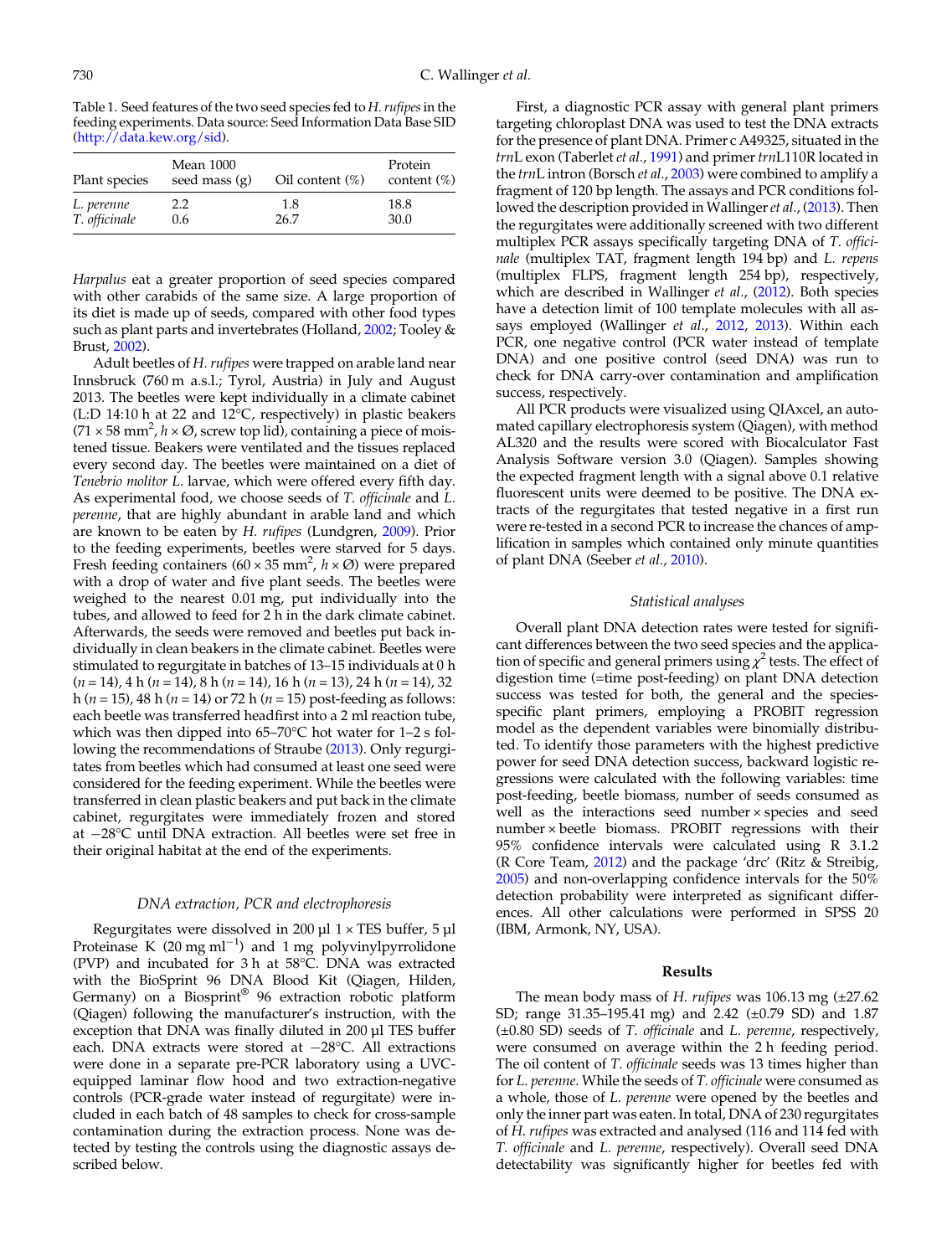<span id="page-2-0"></span>Table 1. Seed features of the two seed species fed to H. rufipes in the feeding experiments. Data source: Seed Information Data Base SID [\(http://data.kew.org/sid](http://data.kew.org/sid)).

| Plant species | <b>Mean 1000</b><br>seed mass $(g)$ | Oil content $(\%)$ | Protein<br>content $(\%)$ |
|---------------|-------------------------------------|--------------------|---------------------------|
| L. perenne    | 2.2                                 | 1.8                | 18.8                      |
| T. officinale | 0.6                                 | 26.7               | 30.0                      |

Harpalus eat a greater proportion of seed species compared with other carabids of the same size. A large proportion of its diet is made up of seeds, compared with other food types such as plant parts and invertebrates (Holland, [2002](#page-5-0); Tooley & Brust, [2002\)](#page-6-0).

Adult beetles of H. rufipes were trapped on arable land near Innsbruck (760 m a.s.l.; Tyrol, Austria) in July and August 2013. The beetles were kept individually in a climate cabinet (L:D 14:10 h at 22 and 12°C, respectively) in plastic beakers  $(71 \times 58 \text{ mm}^2, h \times \emptyset, \text{ screw top lid})$ , containing a piece of moistened tissue. Beakers were ventilated and the tissues replaced every second day. The beetles were maintained on a diet of Tenebrio molitor L. larvae, which were offered every fifth day. As experimental food, we choose seeds of T. officinale and L. perenne, that are highly abundant in arable land and which are known to be eaten by H. rufipes (Lundgren, [2009\)](#page-5-0). Prior to the feeding experiments, beetles were starved for 5 days. Fresh feeding containers (60  $\times$  35 mm<sup>2</sup>,  $h \times \emptyset$ ) were prepared with a drop of water and five plant seeds. The beetles were weighed to the nearest 0.01 mg, put individually into the tubes, and allowed to feed for 2 h in the dark climate cabinet. Afterwards, the seeds were removed and beetles put back individually in clean beakers in the climate cabinet. Beetles were stimulated to regurgitate in batches of 13–15 individuals at 0 h  $(n = 14)$ , 4 h  $(n = 14)$ , 8 h  $(n = 14)$ , 16 h  $(n = 13)$ , 24 h  $(n = 14)$ , 32 h ( $n = 15$ ), 48 h ( $n = 14$ ) or 72 h ( $n = 15$ ) post-feeding as follows: each beetle was transferred headfirst into a 2 ml reaction tube, which was then dipped into 65–70°C hot water for 1–2 s following the recommendations of Straube ([2013\)](#page-6-0). Only regurgitates from beetles which had consumed at least one seed were considered for the feeding experiment. While the beetles were transferred in clean plastic beakers and put back in the climate cabinet, regurgitates were immediately frozen and stored at −28°C until DNA extraction. All beetles were set free in their original habitat at the end of the experiments.

#### DNA extraction, PCR and electrophoresis

Regurgitates were dissolved in 200  $\mu$ l 1 × TES buffer, 5  $\mu$ l Proteinase K (20 mg ml<sup>-1</sup>) and 1 mg polyvinylpyrrolidone (PVP) and incubated for 3 h at 58°C. DNA was extracted with the BioSprint 96 DNA Blood Kit (Qiagen, Hilden, Germany) on a Biosprint® 96 extraction robotic platform (Qiagen) following the manufacturer's instruction, with the exception that DNA was finally diluted in 200 µl TES buffer each. DNA extracts were stored at −28°C. All extractions were done in a separate pre-PCR laboratory using a UVCequipped laminar flow hood and two extraction-negative controls (PCR-grade water instead of regurgitate) were included in each batch of 48 samples to check for cross-sample contamination during the extraction process. None was detected by testing the controls using the diagnostic assays described below.

First, a diagnostic PCR assay with general plant primers targeting chloroplast DNA was used to test the DNA extracts for the presence of plant DNA. Primer c A49325, situated in the trnL exon (Taberlet et al., [1991](#page-6-0)) and primer trnL110R located in the *trnL* intron (Borsch et al., [2003\)](#page-5-0) were combined to amplify a fragment of 120 bp length. The assays and PCR conditions fol-lowed the description provided in Wallinger et al., [\(2013](#page-7-0)). Then the regurgitates were additionally screened with two different multiplex PCR assays specifically targeting DNA of T. officinale (multiplex TAT, fragment length 194 bp) and L. repens (multiplex FLPS, fragment length 254 bp), respectively, which are described in Wallinger et al., ([2012](#page-6-0)). Both species have a detection limit of 100 template molecules with all as-says employed (Wallinger et al., [2012,](#page-6-0) [2013](#page-7-0)). Within each PCR, one negative control (PCR water instead of template DNA) and one positive control (seed DNA) was run to check for DNA carry-over contamination and amplification success, respectively.

All PCR products were visualized using QIAxcel, an automated capillary electrophoresis system (Qiagen), with method AL320 and the results were scored with Biocalculator Fast Analysis Software version 3.0 (Qiagen). Samples showing the expected fragment length with a signal above 0.1 relative fluorescent units were deemed to be positive. The DNA extracts of the regurgitates that tested negative in a first run were re-tested in a second PCR to increase the chances of amplification in samples which contained only minute quantities of plant DNA (Seeber et al., [2010\)](#page-6-0).

#### Statistical analyses

Overall plant DNA detection rates were tested for significant differences between the two seed species and the application of specific and general primers using  $\chi^2$  tests. The effect of digestion time (=time post-feeding) on plant DNA detection success was tested for both, the general and the speciesspecific plant primers, employing a PROBIT regression model as the dependent variables were binomially distributed. To identify those parameters with the highest predictive power for seed DNA detection success, backward logistic regressions were calculated with the following variables: time post-feeding, beetle biomass, number of seeds consumed as well as the interactions seed number × species and seed number × beetle biomass. PROBIT regressions with their 95% confidence intervals were calculated using R 3.1.2 (R Core Team, [2012\)](#page-6-0) and the package 'drc' (Ritz & Streibig, [2005](#page-6-0)) and non-overlapping confidence intervals for the 50% detection probability were interpreted as significant differences. All other calculations were performed in SPSS 20 (IBM, Armonk, NY, USA).

## Results

The mean body mass of H. rufipes was 106.13 mg  $(\pm 27.62)$ SD; range 31.35–195.41 mg) and 2.42 (±0.79 SD) and 1.87 (±0.80 SD) seeds of T. officinale and L. perenne, respectively, were consumed on average within the 2 h feeding period. The oil content of T. officinale seeds was 13 times higher than for L. perenne. While the seeds of T. officinale were consumed as a whole, those of L. perenne were opened by the beetles and only the inner part was eaten. In total, DNA of 230 regurgitates of H. rufipes was extracted and analysed (116 and 114 fed with T. officinale and L. perenne, respectively). Overall seed DNA detectability was significantly higher for beetles fed with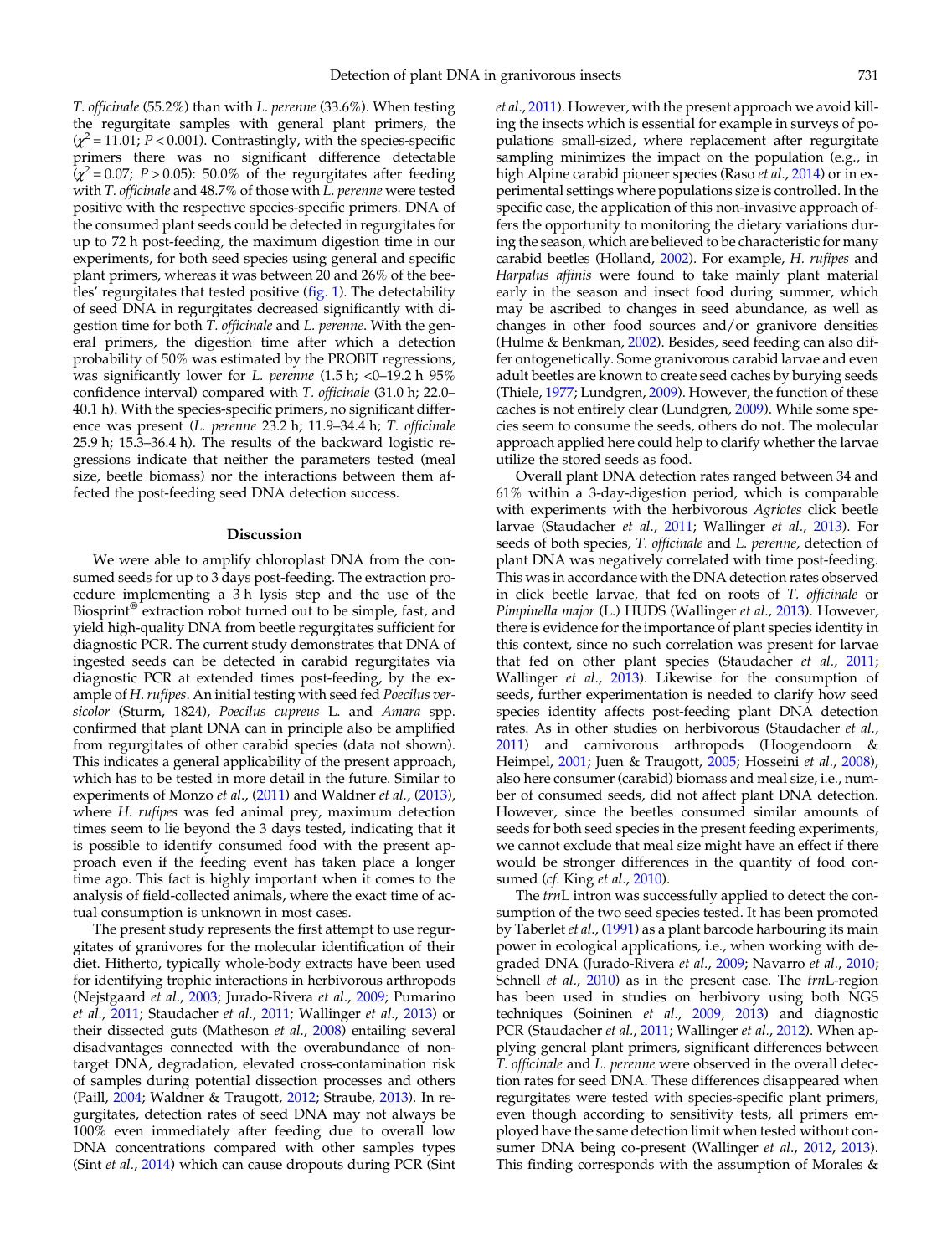T. officinale (55.2%) than with L. perenne (33.6%). When testing the regurgitate samples with general plant primers, the  $\chi^2$  = 11.01; P < 0.001). Contrastingly, with the species-specific primers there was no significant difference detectable  $\sqrt{\chi^2}$  = 0.07; P > 0.05): 50.0% of the regurgitates after feeding with T. officinale and 48.7% of those with L. perenne were tested positive with the respective species-specific primers. DNA of the consumed plant seeds could be detected in regurgitates for up to 72 h post-feeding, the maximum digestion time in our experiments, for both seed species using general and specific plant primers, whereas it was between 20 and 26% of the bee-tles' regurgitates that tested positive [\(fig. 1](#page-4-0)). The detectability of seed DNA in regurgitates decreased significantly with digestion time for both T. officinale and L. perenne. With the general primers, the digestion time after which a detection probability of 50% was estimated by the PROBIT regressions, was significantly lower for L. perenne  $(1.5 h; <0-19.2 h)$  95% confidence interval) compared with T. officinale (31.0 h; 22.0– 40.1 h). With the species-specific primers, no significant difference was present (L. perenne 23.2 h; 11.9–34.4 h; T. officinale 25.9 h; 15.3–36.4 h). The results of the backward logistic regressions indicate that neither the parameters tested (meal size, beetle biomass) nor the interactions between them affected the post-feeding seed DNA detection success.

#### Discussion

We were able to amplify chloroplast DNA from the consumed seeds for up to 3 days post-feeding. The extraction procedure implementing a 3 h lysis step and the use of the Biosprint® extraction robot turned out to be simple, fast, and yield high-quality DNA from beetle regurgitates sufficient for diagnostic PCR. The current study demonstrates that DNA of ingested seeds can be detected in carabid regurgitates via diagnostic PCR at extended times post-feeding, by the example of H. rufipes. An initial testing with seed fed Poecilus versicolor (Sturm, 1824), Poecilus cupreus L. and Amara spp. confirmed that plant DNA can in principle also be amplified from regurgitates of other carabid species (data not shown). This indicates a general applicability of the present approach, which has to be tested in more detail in the future. Similar to experiments of Monzo et al., ([2011\)](#page-5-0) and Waldner et al., ([2013\)](#page-6-0), where H. rufipes was fed animal prey, maximum detection times seem to lie beyond the 3 days tested, indicating that it is possible to identify consumed food with the present approach even if the feeding event has taken place a longer time ago. This fact is highly important when it comes to the analysis of field-collected animals, where the exact time of actual consumption is unknown in most cases.

The present study represents the first attempt to use regurgitates of granivores for the molecular identification of their diet. Hitherto, typically whole-body extracts have been used for identifying trophic interactions in herbivorous arthropods (Nejstgaard et al., [2003;](#page-6-0) Jurado-Rivera et al., [2009](#page-5-0); Pumarino et al., [2011](#page-6-0); Staudacher et al., [2011;](#page-6-0) Wallinger et al., [2013\)](#page-7-0) or their dissected guts (Matheson et al., [2008\)](#page-5-0) entailing several disadvantages connected with the overabundance of nontarget DNA, degradation, elevated cross-contamination risk of samples during potential dissection processes and others (Paill, [2004;](#page-6-0) Waldner & Traugott, [2012](#page-6-0); Straube, [2013](#page-6-0)). In regurgitates, detection rates of seed DNA may not always be 100% even immediately after feeding due to overall low DNA concentrations compared with other samples types (Sint et al., [2014\)](#page-6-0) which can cause dropouts during PCR (Sint et al., [2011\)](#page-6-0). However, with the present approach we avoid killing the insects which is essential for example in surveys of populations small-sized, where replacement after regurgitate sampling minimizes the impact on the population (e.g., in high Alpine carabid pioneer species (Raso et al., [2014\)](#page-6-0) or in experimental settings where populations size is controlled. In the specific case, the application of this non-invasive approach offers the opportunity to monitoring the dietary variations during the season, which are believed to be characteristic for many carabid beetles (Holland, [2002](#page-5-0)). For example, H. rufipes and Harpalus affinis were found to take mainly plant material early in the season and insect food during summer, which may be ascribed to changes in seed abundance, as well as changes in other food sources and/or granivore densities (Hulme & Benkman, [2002](#page-5-0)). Besides, seed feeding can also differ ontogenetically. Some granivorous carabid larvae and even adult beetles are known to create seed caches by burying seeds (Thiele, [1977;](#page-6-0) Lundgren, [2009\)](#page-5-0). However, the function of these caches is not entirely clear (Lundgren, [2009](#page-5-0)). While some species seem to consume the seeds, others do not. The molecular approach applied here could help to clarify whether the larvae utilize the stored seeds as food.

Overall plant DNA detection rates ranged between 34 and 61% within a 3-day-digestion period, which is comparable with experiments with the herbivorous Agriotes click beetle larvae (Staudacher et al., [2011;](#page-6-0) Wallinger et al., [2013\)](#page-7-0). For seeds of both species, T. officinale and L. perenne, detection of plant DNA was negatively correlated with time post-feeding. This was in accordance with the DNA detection rates observed in click beetle larvae, that fed on roots of T. officinale or Pimpinella major (L.) HUDS (Wallinger et al., [2013\)](#page-7-0). However, there is evidence for the importance of plant species identity in this context, since no such correlation was present for larvae that fed on other plant species (Staudacher et al., [2011](#page-6-0); Wallinger *et al.*, [2013\)](#page-7-0). Likewise for the consumption of seeds, further experimentation is needed to clarify how seed species identity affects post-feeding plant DNA detection rates. As in other studies on herbivorous (Staudacher et al., [2011](#page-6-0)) and carnivorous arthropods (Hoogendoorn & Heimpel, [2001;](#page-5-0) Juen & Traugott, [2005;](#page-5-0) Hosseini et al., [2008\)](#page-5-0), also here consumer (carabid) biomass and meal size, i.e., number of consumed seeds, did not affect plant DNA detection. However, since the beetles consumed similar amounts of seeds for both seed species in the present feeding experiments, we cannot exclude that meal size might have an effect if there would be stronger differences in the quantity of food con-sumed (cf. King et al., [2010](#page-5-0)).

The trnL intron was successfully applied to detect the consumption of the two seed species tested. It has been promoted by Taberlet et al., [\(1991](#page-6-0)) as a plant barcode harbouring its main power in ecological applications, i.e., when working with de-graded DNA (Jurado-Rivera et al., [2009;](#page-5-0) Navarro et al., [2010](#page-6-0); Schnell et al., [2010\)](#page-6-0) as in the present case. The trnL-region has been used in studies on herbivory using both NGS techniques (Soininen et al., [2009,](#page-6-0) [2013](#page-6-0)) and diagnostic PCR (Staudacher et al., [2011;](#page-6-0) Wallinger et al., [2012\)](#page-6-0). When applying general plant primers, significant differences between T. officinale and L. perenne were observed in the overall detection rates for seed DNA. These differences disappeared when regurgitates were tested with species-specific plant primers, even though according to sensitivity tests, all primers employed have the same detection limit when tested without consumer DNA being co-present (Wallinger et al., [2012,](#page-6-0) [2013\)](#page-7-0). This finding corresponds with the assumption of Morales &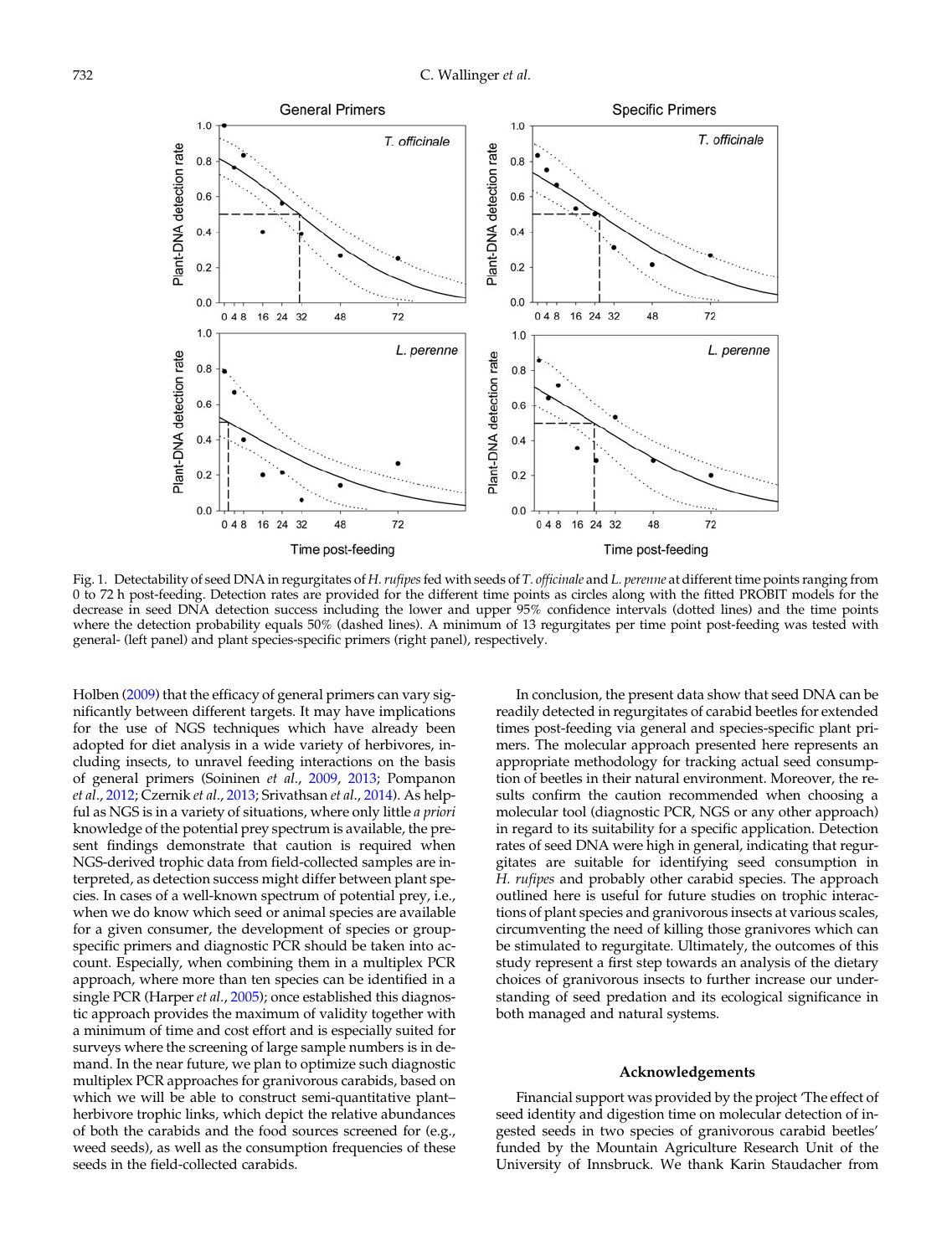<span id="page-4-0"></span>

Fig. 1. Detectability of seed DNA in regurgitates of H. rufipes fed with seeds of T. officinale and L. perenne at different time points ranging from 0 to 72 h post-feeding. Detection rates are provided for the different time points as circles along with the fitted PROBIT models for the decrease in seed DNA detection success including the lower and upper 95% confidence intervals (dotted lines) and the time points where the detection probability equals 50% (dashed lines). A minimum of 13 regurgitates per time point post-feeding was tested with general- (left panel) and plant species-specific primers (right panel), respectively.

Holben [\(2009](#page-6-0)) that the efficacy of general primers can vary significantly between different targets. It may have implications for the use of NGS techniques which have already been adopted for diet analysis in a wide variety of herbivores, including insects, to unravel feeding interactions on the basis of general primers (Soininen et al., [2009](#page-6-0), [2013](#page-6-0); Pompanon et al., [2012](#page-6-0); Czernik et al., [2013](#page-5-0); Srivathsan et al., [2014\)](#page-6-0). As helpful as NGS is in a variety of situations, where only little *a priori* knowledge of the potential prey spectrum is available, the present findings demonstrate that caution is required when NGS-derived trophic data from field-collected samples are interpreted, as detection success might differ between plant species. In cases of a well-known spectrum of potential prey, i.e., when we do know which seed or animal species are available for a given consumer, the development of species or groupspecific primers and diagnostic PCR should be taken into account. Especially, when combining them in a multiplex PCR approach, where more than ten species can be identified in a single PCR (Harper et al., [2005](#page-5-0)); once established this diagnostic approach provides the maximum of validity together with a minimum of time and cost effort and is especially suited for surveys where the screening of large sample numbers is in demand. In the near future, we plan to optimize such diagnostic multiplex PCR approaches for granivorous carabids, based on which we will be able to construct semi-quantitative plant– herbivore trophic links, which depict the relative abundances of both the carabids and the food sources screened for (e.g., weed seeds), as well as the consumption frequencies of these seeds in the field-collected carabids.

In conclusion, the present data show that seed DNA can be readily detected in regurgitates of carabid beetles for extended times post-feeding via general and species-specific plant primers. The molecular approach presented here represents an appropriate methodology for tracking actual seed consumption of beetles in their natural environment. Moreover, the results confirm the caution recommended when choosing a molecular tool (diagnostic PCR, NGS or any other approach) in regard to its suitability for a specific application. Detection rates of seed DNA were high in general, indicating that regurgitates are suitable for identifying seed consumption in H. rufipes and probably other carabid species. The approach outlined here is useful for future studies on trophic interactions of plant species and granivorous insects at various scales, circumventing the need of killing those granivores which can be stimulated to regurgitate. Ultimately, the outcomes of this study represent a first step towards an analysis of the dietary choices of granivorous insects to further increase our understanding of seed predation and its ecological significance in both managed and natural systems.

#### Acknowledgements

Financial support was provided by the project 'The effect of seed identity and digestion time on molecular detection of ingested seeds in two species of granivorous carabid beetles' funded by the Mountain Agriculture Research Unit of the University of Innsbruck. We thank Karin Staudacher from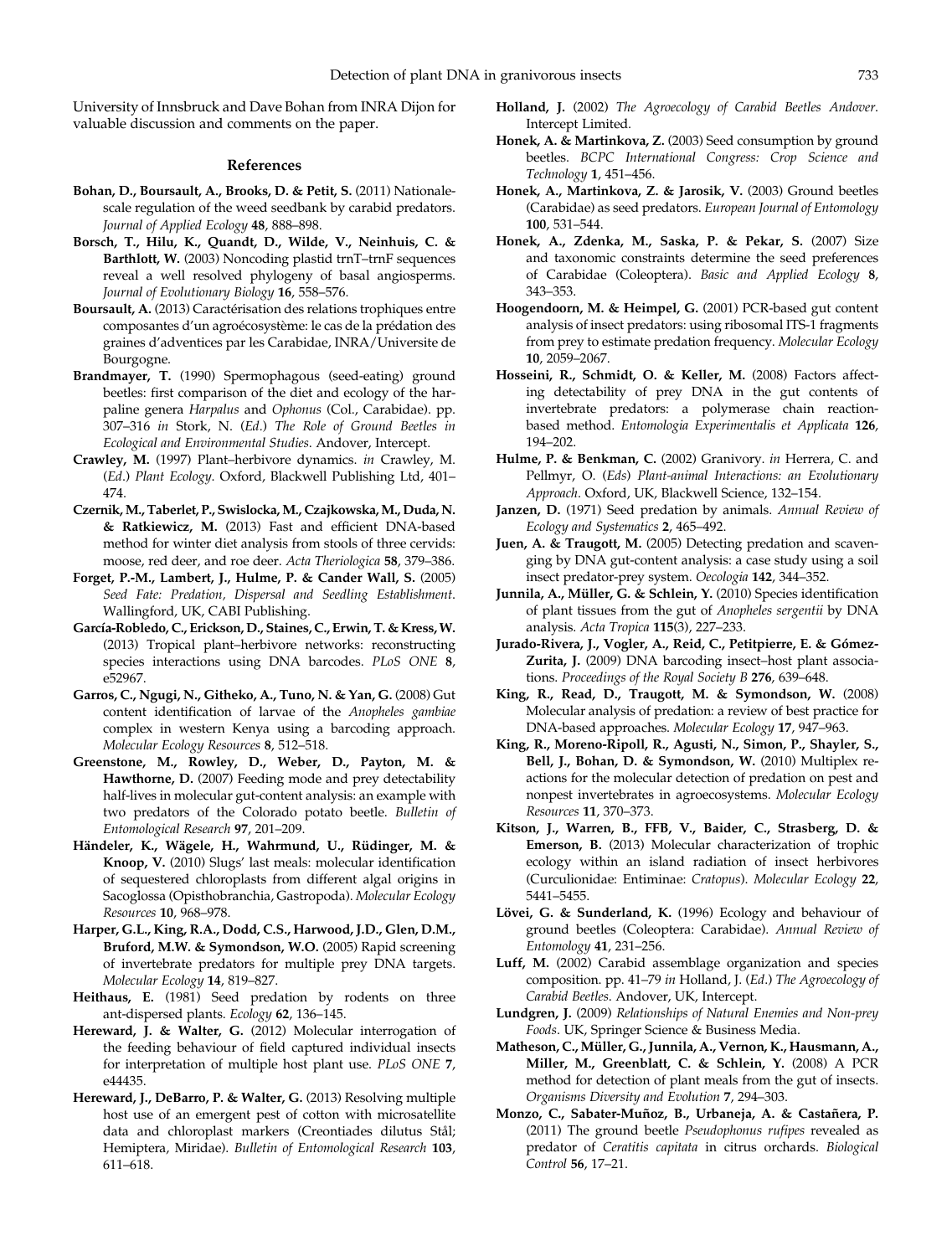<span id="page-5-0"></span>University of Innsbruck and Dave Bohan from INRA Dijon for valuable discussion and comments on the paper.

#### References

- Bohan, D., Boursault, A., Brooks, D. & Petit, S. (2011) Nationalescale regulation of the weed seedbank by carabid predators. Journal of Applied Ecology 48, 888–898.
- Borsch, T., Hilu, K., Quandt, D., Wilde, V., Neinhuis, C. & Barthlott, W. (2003) Noncoding plastid trnT–trnF sequences reveal a well resolved phylogeny of basal angiosperms. Journal of Evolutionary Biology 16, 558–576.
- Boursault, A. (2013) Caractérisation des relations trophiques entre composantes d'un agroécosystème: le cas de la prédation des graines d'adventices par les Carabidae, INRA/Universite de Bourgogne.
- Brandmayer, T. (1990) Spermophagous (seed-eating) ground beetles: first comparison of the diet and ecology of the harpaline genera Harpalus and Ophonus (Col., Carabidae). pp. 307–316 in Stork, N. (Ed.) The Role of Ground Beetles in Ecological and Environmental Studies. Andover, Intercept.
- Crawley, M. (1997) Plant–herbivore dynamics. in Crawley, M. (Ed.) Plant Ecology. Oxford, Blackwell Publishing Ltd, 401– 474.
- Czernik, M., Taberlet, P., Swislocka,M., Czajkowska,M., Duda, N. & Ratkiewicz, M. (2013) Fast and efficient DNA-based method for winter diet analysis from stools of three cervids: moose, red deer, and roe deer. Acta Theriologica 58, 379–386.
- Forget, P.-M., Lambert, J., Hulme, P. & Cander Wall, S. (2005) Seed Fate: Predation, Dispersal and Seedling Establishment. Wallingford, UK, CABI Publishing.
- García-Robledo, C., Erickson, D., Staines, C., Erwin, T. & Kress,W. (2013) Tropical plant–herbivore networks: reconstructing species interactions using DNA barcodes. PLoS ONE 8, e52967.
- Garros, C., Ngugi, N., Githeko, A., Tuno, N. & Yan, G. (2008) Gut content identification of larvae of the Anopheles gambiae complex in western Kenya using a barcoding approach. Molecular Ecology Resources 8, 512–518.
- Greenstone, M., Rowley, D., Weber, D., Payton, M. & Hawthorne, D. (2007) Feeding mode and prey detectability half-lives in molecular gut-content analysis: an example with two predators of the Colorado potato beetle. Bulletin of Entomological Research 97, 201–209.
- Händeler, K., Wägele, H., Wahrmund, U., Rüdinger, M. & Knoop, V. (2010) Slugs' last meals: molecular identification of sequestered chloroplasts from different algal origins in Sacoglossa (Opisthobranchia, Gastropoda). Molecular Ecology Resources 10, 968–978.
- Harper, G.L., King, R.A., Dodd, C.S., Harwood, J.D., Glen, D.M., Bruford, M.W. & Symondson, W.O. (2005) Rapid screening of invertebrate predators for multiple prey DNA targets. Molecular Ecology 14, 819–827.
- Heithaus, E. (1981) Seed predation by rodents on three ant-dispersed plants. Ecology 62, 136–145.
- Hereward, J. & Walter, G. (2012) Molecular interrogation of the feeding behaviour of field captured individual insects for interpretation of multiple host plant use. PLoS ONE 7, e44435.
- Hereward, J., DeBarro, P. & Walter, G. (2013) Resolving multiple host use of an emergent pest of cotton with microsatellite data and chloroplast markers (Creontiades dilutus Stål; Hemiptera, Miridae). Bulletin of Entomological Research 103, 611–618.
- Holland, J. (2002) The Agroecology of Carabid Beetles Andover. Intercept Limited.
- Honek, A. & Martinkova, Z. (2003) Seed consumption by ground beetles. BCPC International Congress: Crop Science and Technology 1, 451–456.
- Honek, A., Martinkova, Z. & Jarosik, V. (2003) Ground beetles (Carabidae) as seed predators. European Journal of Entomology 100, 531–544.
- Honek, A., Zdenka, M., Saska, P. & Pekar, S. (2007) Size and taxonomic constraints determine the seed preferences of Carabidae (Coleoptera). Basic and Applied Ecology 8, 343–353.
- Hoogendoorn, M. & Heimpel, G. (2001) PCR-based gut content analysis of insect predators: using ribosomal ITS-1 fragments from prey to estimate predation frequency. Molecular Ecology 10, 2059–2067.
- Hosseini, R., Schmidt, O. & Keller, M. (2008) Factors affecting detectability of prey DNA in the gut contents of invertebrate predators: a polymerase chain reactionbased method. Entomologia Experimentalis et Applicata 126, 194–202.
- Hulme, P. & Benkman, C. (2002) Granivory. in Herrera, C. and Pellmyr, O. (Eds) Plant-animal Interactions: an Evolutionary Approach. Oxford, UK, Blackwell Science, 132–154.
- Janzen, D. (1971) Seed predation by animals. Annual Review of Ecology and Systematics 2, 465–492.
- Juen, A. & Traugott, M. (2005) Detecting predation and scavenging by DNA gut-content analysis: a case study using a soil insect predator-prey system. Oecologia 142, 344–352.
- Junnila, A., Müller, G. & Schlein, Y. (2010) Species identification of plant tissues from the gut of Anopheles sergentii by DNA analysis. Acta Tropica 115(3), 227–233.
- Jurado-Rivera, J., Vogler, A., Reid, C., Petitpierre, E. & Gómez-Zurita, J. (2009) DNA barcoding insect–host plant associations. Proceedings of the Royal Society B 276, 639–648.
- King, R., Read, D., Traugott, M. & Symondson, W. (2008) Molecular analysis of predation: a review of best practice for DNA-based approaches. Molecular Ecology 17, 947–963.
- King, R., Moreno-Ripoll, R., Agusti, N., Simon, P., Shayler, S., Bell, J., Bohan, D. & Symondson, W. (2010) Multiplex reactions for the molecular detection of predation on pest and nonpest invertebrates in agroecosystems. Molecular Ecology Resources 11, 370–373.
- Kitson, J., Warren, B., FFB, V., Baider, C., Strasberg, D. & Emerson, B. (2013) Molecular characterization of trophic ecology within an island radiation of insect herbivores (Curculionidae: Entiminae: Cratopus). Molecular Ecology 22, 5441–5455.
- Lövei, G. & Sunderland, K. (1996) Ecology and behaviour of ground beetles (Coleoptera: Carabidae). Annual Review of Entomology 41, 231–256.
- Luff, M. (2002) Carabid assemblage organization and species composition. pp. 41–79 in Holland, J. (Ed.) The Agroecology of Carabid Beetles. Andover, UK, Intercept.
- Lundgren, J. (2009) Relationships of Natural Enemies and Non-prey Foods. UK, Springer Science & Business Media.
- Matheson, C., Müller, G., Junnila, A., Vernon, K., Hausmann, A., Miller, M., Greenblatt, C. & Schlein, Y. (2008) A PCR method for detection of plant meals from the gut of insects. Organisms Diversity and Evolution 7, 294–303.
- Monzo, C., Sabater-Muñoz, B., Urbaneja, A. & Castañera, P. (2011) The ground beetle Pseudophonus rufipes revealed as predator of Ceratitis capitata in citrus orchards. Biological Control 56, 17–21.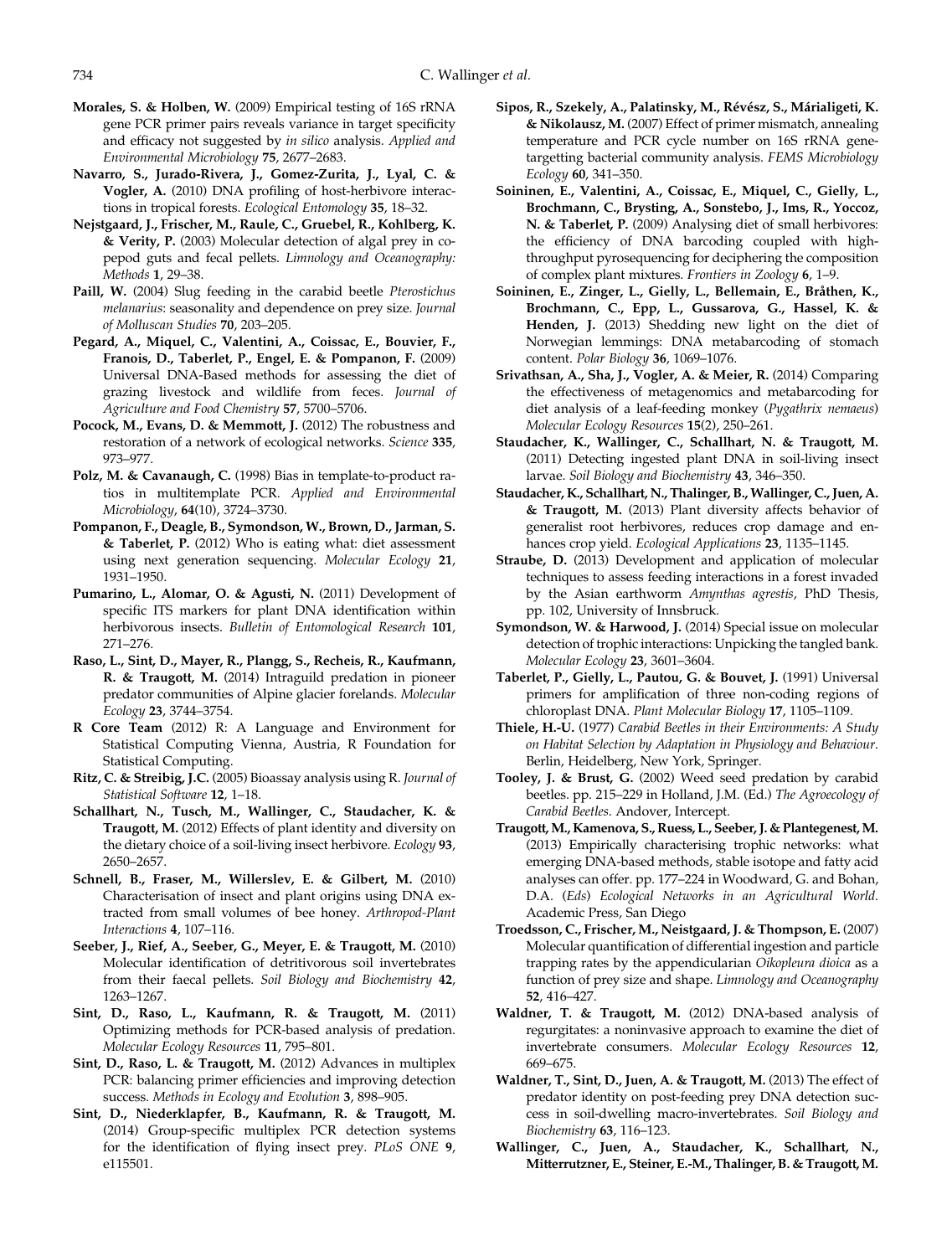- <span id="page-6-0"></span>Morales, S. & Holben, W. (2009) Empirical testing of 16S rRNA gene PCR primer pairs reveals variance in target specificity and efficacy not suggested by in silico analysis. Applied and Environmental Microbiology 75, 2677–2683.
- Navarro, S., Jurado-Rivera, J., Gomez-Zurita, J., Lyal, C. & Vogler, A. (2010) DNA profiling of host-herbivore interactions in tropical forests. Ecological Entomology 35, 18–32.
- Nejstgaard, J., Frischer, M., Raule, C., Gruebel, R., Kohlberg, K. & Verity, P. (2003) Molecular detection of algal prey in copepod guts and fecal pellets. Limnology and Oceanography: Methods 1, 29–38.
- Paill, W. (2004) Slug feeding in the carabid beetle Pterostichus melanarius: seasonality and dependence on prey size. Journal of Molluscan Studies 70, 203–205.
- Pegard, A., Miquel, C., Valentini, A., Coissac, E., Bouvier, F., Franois, D., Taberlet, P., Engel, E. & Pompanon, F. (2009) Universal DNA-Based methods for assessing the diet of grazing livestock and wildlife from feces. Journal of Agriculture and Food Chemistry 57, 5700–5706.
- Pocock, M., Evans, D. & Memmott, J. (2012) The robustness and restoration of a network of ecological networks. Science 335, 973–977.
- Polz, M. & Cavanaugh, C. (1998) Bias in template-to-product ratios in multitemplate PCR. Applied and Environmental Microbiology, 64(10), 3724–3730.
- Pompanon, F., Deagle, B., Symondson, W., Brown, D., Jarman, S. & Taberlet, P. (2012) Who is eating what: diet assessment using next generation sequencing. Molecular Ecology 21, 1931–1950.
- Pumarino, L., Alomar, O. & Agusti, N. (2011) Development of specific ITS markers for plant DNA identification within herbivorous insects. Bulletin of Entomological Research 101, 271–276.
- Raso, L., Sint, D., Mayer, R., Plangg, S., Recheis, R., Kaufmann, R. & Traugott, M. (2014) Intraguild predation in pioneer predator communities of Alpine glacier forelands. Molecular Ecology 23, 3744–3754.
- R Core Team (2012) R: A Language and Environment for Statistical Computing Vienna, Austria, R Foundation for Statistical Computing.
- Ritz, C. & Streibig, J.C. (2005) Bioassay analysis using R. Journal of Statistical Software 12, 1–18.
- Schallhart, N., Tusch, M., Wallinger, C., Staudacher, K. & Traugott, M. (2012) Effects of plant identity and diversity on the dietary choice of a soil-living insect herbivore. Ecology 93, 2650–2657.
- Schnell, B., Fraser, M., Willerslev, E. & Gilbert, M. (2010) Characterisation of insect and plant origins using DNA extracted from small volumes of bee honey. Arthropod-Plant Interactions 4, 107–116.
- Seeber, J., Rief, A., Seeber, G., Meyer, E. & Traugott, M. (2010) Molecular identification of detritivorous soil invertebrates from their faecal pellets. Soil Biology and Biochemistry 42, 1263–1267.
- Sint, D., Raso, L., Kaufmann, R. & Traugott, M. (2011) Optimizing methods for PCR-based analysis of predation. Molecular Ecology Resources 11, 795–801.
- Sint, D., Raso, L. & Traugott, M. (2012) Advances in multiplex PCR: balancing primer efficiencies and improving detection success. Methods in Ecology and Evolution 3, 898–905.
- Sint, D., Niederklapfer, B., Kaufmann, R. & Traugott, M. (2014) Group-specific multiplex PCR detection systems for the identification of flying insect prey. PLoS ONE 9, e115501.
- Sipos, R., Szekely, A., Palatinsky, M., Révész, S., Márialigeti, K. & Nikolausz, M. (2007) Effect of primer mismatch, annealing temperature and PCR cycle number on 16S rRNA genetargetting bacterial community analysis. FEMS Microbiology Ecology 60, 341–350.
- Soininen, E., Valentini, A., Coissac, E., Miquel, C., Gielly, L., Brochmann, C., Brysting, A., Sonstebo, J., Ims, R., Yoccoz, N. & Taberlet, P. (2009) Analysing diet of small herbivores: the efficiency of DNA barcoding coupled with highthroughput pyrosequencing for deciphering the composition of complex plant mixtures. Frontiers in Zoology 6, 1–9.
- Soininen, E., Zinger, L., Gielly, L., Bellemain, E., Bråthen, K., Brochmann, C., Epp, L., Gussarova, G., Hassel, K. & Henden, J. (2013) Shedding new light on the diet of Norwegian lemmings: DNA metabarcoding of stomach content. Polar Biology 36, 1069–1076.
- Srivathsan, A., Sha, J., Vogler, A. & Meier, R. (2014) Comparing the effectiveness of metagenomics and metabarcoding for diet analysis of a leaf-feeding monkey (Pygathrix nemaeus) Molecular Ecology Resources 15(2), 250–261.
- Staudacher, K., Wallinger, C., Schallhart, N. & Traugott, M. (2011) Detecting ingested plant DNA in soil-living insect larvae. Soil Biology and Biochemistry 43, 346-350.
- Staudacher, K., Schallhart, N., Thalinger, B., Wallinger, C., Juen, A. & Traugott, M. (2013) Plant diversity affects behavior of generalist root herbivores, reduces crop damage and enhances crop yield. Ecological Applications 23, 1135-1145.
- Straube, D. (2013) Development and application of molecular techniques to assess feeding interactions in a forest invaded by the Asian earthworm Amynthas agrestis, PhD Thesis, pp. 102, University of Innsbruck.
- Symondson, W. & Harwood, J. (2014) Special issue on molecular detection of trophic interactions: Unpicking the tangled bank. Molecular Ecology 23, 3601–3604.
- Taberlet, P., Gielly, L., Pautou, G. & Bouvet, J. (1991) Universal primers for amplification of three non-coding regions of chloroplast DNA. Plant Molecular Biology 17, 1105–1109.
- Thiele, H.-U. (1977) Carabid Beetles in their Environments: A Study on Habitat Selection by Adaptation in Physiology and Behaviour. Berlin, Heidelberg, New York, Springer.
- Tooley, J. & Brust, G. (2002) Weed seed predation by carabid beetles. pp. 215–229 in Holland, J.M. (Ed.) The Agroecology of Carabid Beetles. Andover, Intercept.
- Traugott,M., Kamenova, S., Ruess, L., Seeber, J. & Plantegenest,M. (2013) Empirically characterising trophic networks: what emerging DNA-based methods, stable isotope and fatty acid analyses can offer. pp. 177–224 in Woodward, G. and Bohan, D.A. (Eds) Ecological Networks in an Agricultural World. Academic Press, San Diego
- Troedsson, C., Frischer, M., Neistgaard, J. & Thompson, E. (2007) Molecular quantification of differential ingestion and particle trapping rates by the appendicularian Oikopleura dioica as a function of prey size and shape. Limnology and Oceanography 52, 416–427.
- Waldner, T. & Traugott, M. (2012) DNA-based analysis of regurgitates: a noninvasive approach to examine the diet of invertebrate consumers. Molecular Ecology Resources 12, 669–675.
- Waldner, T., Sint, D., Juen, A. & Traugott, M. (2013) The effect of predator identity on post-feeding prey DNA detection success in soil-dwelling macro-invertebrates. Soil Biology and Biochemistry 63, 116–123.
- Wallinger, C., Juen, A., Staudacher, K., Schallhart, N., Mitterrutzner, E., Steiner, E.-M., Thalinger, B. & Traugott, M.